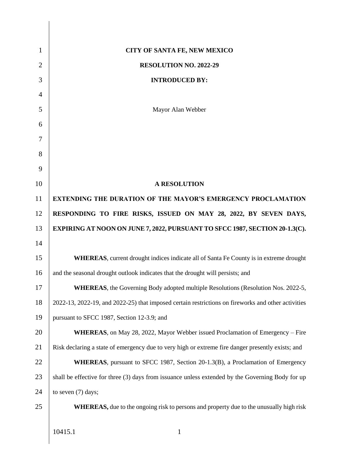| 1              | CITY OF SANTA FE, NEW MEXICO                                                                       |
|----------------|----------------------------------------------------------------------------------------------------|
| 2              | RESOLUTION NO. 2022-29                                                                             |
| 3              | <b>INTRODUCED BY:</b>                                                                              |
| $\overline{4}$ |                                                                                                    |
| 5              | Mayor Alan Webber                                                                                  |
| 6              |                                                                                                    |
| 7              |                                                                                                    |
| 8              |                                                                                                    |
| 9              |                                                                                                    |
| 10             | <b>A RESOLUTION</b>                                                                                |
| 11             | <b>EXTENDING THE DURATION OF THE MAYOR'S EMERGENCY PROCLAMATION</b>                                |
| 12             | RESPONDING TO FIRE RISKS, ISSUED ON MAY 28, 2022, BY SEVEN DAYS,                                   |
| 13             | EXPIRING AT NOON ON JUNE 7, 2022, PURSUANT TO SFCC 1987, SECTION 20-1.3(C).                        |
| 14             |                                                                                                    |
| 15             | <b>WHEREAS</b> , current drought indices indicate all of Santa Fe County is in extreme drought     |
| 16             | and the seasonal drought outlook indicates that the drought will persists; and                     |
| 17             | <b>WHEREAS</b> , the Governing Body adopted multiple Resolutions (Resolution Nos. 2022-5,          |
| 18             | 2022-13, 2022-19, and 2022-25) that imposed certain restrictions on fireworks and other activities |
| 19             | pursuant to SFCC 1987, Section 12-3.9; and                                                         |
| 20             | WHEREAS, on May 28, 2022, Mayor Webber issued Proclamation of Emergency - Fire                     |
| 21             | Risk declaring a state of emergency due to very high or extreme fire danger presently exists; and  |
| 22             | <b>WHEREAS</b> , pursuant to SFCC 1987, Section 20-1.3(B), a Proclamation of Emergency             |
| 23             | shall be effective for three (3) days from issuance unless extended by the Governing Body for up   |
| 24             | to seven $(7)$ days;                                                                               |
| 25             | <b>WHEREAS</b> , due to the ongoing risk to persons and property due to the unusually high risk    |
|                |                                                                                                    |
|                | 10415.1<br>$\mathbf{1}$                                                                            |